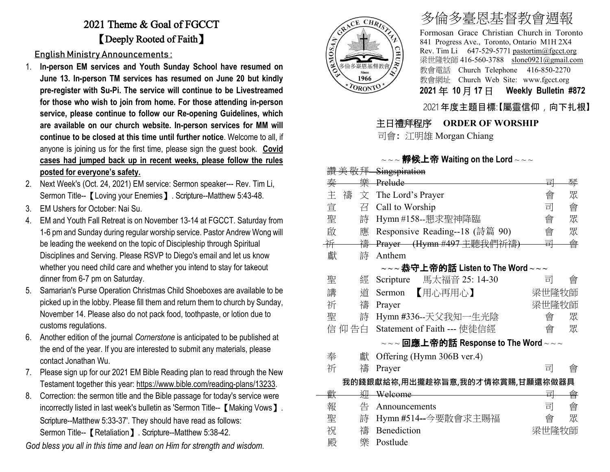## 2021 Theme & Goal of FGCCT 【Deeply Rooted of Faith】

English Ministry Announcements :

- 1. **In-person EM services and Youth Sunday School have resumed on June 13. In-person TM services has resumed on June 20 but kindly pre-register with Su-Pi. The service will continue to be Livestreamed for those who wish to join from home. For those attending in-person service, please continue to follow our Re-opening Guidelines, which are available on our church website. In-person services for MM will continue to be closed at this time until further notice**. Welcome to all, if anyone is joining us for the first time, please sign the guest book. **Covid cases had jumped back up in recent weeks, please follow the rules posted for everyone's safety.**
- 2. Next Week's (Oct. 24, 2021) EM service: Sermon speaker--- Rev. Tim Li, Sermon Title--【Loving your Enemies】. Scripture--Matthew 5:43-48.
- 3. EM Ushers for October: Nai Su.
- 4. EM and Youth Fall Retreat is on November 13-14 at FGCCT. Saturday from 1-6 pm and Sunday during regular worship service. Pastor Andrew Wong will be leading the weekend on the topic of Discipleship through Spiritual Disciplines and Serving. Please RSVP to Diego's email and let us know whether you need child care and whether you intend to stay for takeout dinner from 6-7 pm on Saturday.
- 5. Samarian's Purse Operation Christmas Child Shoeboxes are available to be picked up in the lobby. Please fill them and return them to church by Sunday, November 14. Please also do not pack food, toothpaste, or lotion due to customs regulations.
- 6. Another edition of the journal *Cornerstone* is anticipated to be published at the end of the year. If you are interested to submit any materials, please contact Jonathan Wu.
- 7. Please sign up for our 2021 EM Bible Reading plan to read through the New Testament together this year: [https://www.bible.com/reading-plans/13233.](https://www.bible.com/reading-plans/13233)
- 8. Correction: the sermon title and the Bible passage for today's service were incorrectly listed in last week's bulletin as 'Sermon Title--【Making Vows】. Scripture--Matthew 5:33-37'. They should have read as follows: Sermon Title--【Retaliation】. Scripture--Matthew 5:38-42.

*God bless you all in this time and lean on Him for strength and wisdom.*



# 多倫多臺恩基督教會週報

Formosan Grace Christian Church in Toronto 841 Progress Ave., Toronto, Ontario M1H 2X4 Rev. Tim Li 647-529-5771 [pastortim@fgcct.org](mailto:pastortim@fgcct.org) 梁世隆牧師 416-560-3788 slone0921@gmail.com 教會電話 Church Telephone 416-850-2270 教會網址 Church Web Site: www.fgcct.org **2021** 年 **10** 月 **17** 日 **Weekly Bulletin #872** 

#### 2021 年度主題目標:【屬靈信仰,向下扎根】

#### 主日禮拜程序 **ORDER OF WORSHIP**

司會: 江明雄 Morgan Chiang

#### $\sim$   $\sim$  **静候上帝 Waiting on the Lord**  $\sim$   $\sim$   $\sim$

|   | 敬拜     | Singspiration                                                                                                 |                           |   |
|---|--------|---------------------------------------------------------------------------------------------------------------|---------------------------|---|
| 秦 | 樂      | Prelude                                                                                                       | 릐                         | 琴 |
| 主 | 禱<br>文 | The Lord's Prayer                                                                                             | 會                         | 眾 |
| 宣 | 召      | Call to Worship                                                                                               | 司                         | 會 |
| 聖 | 詩      | Hymn #158--懇求聖神降臨                                                                                             | 會                         | 眾 |
| 啟 | 應      | Responsive Reading--18 (詩篇 90)                                                                                | 會                         | 眾 |
| 祈 | 禱      | Prayer (Hymn #497 主聽我們祈禱)                                                                                     | 롸                         | 會 |
| 獻 | 詩      | Anthem                                                                                                        |                           |   |
|   |        | $\scriptstyle\mathtt{\sim}\mathtt{\sim}$ ~恭守上帝的話 Listen to The Word $\scriptstyle\mathtt{\sim}\mathtt{\sim}$  |                           |   |
| 聖 | 經      | 馬太福音 25: 14-30<br>Scripture                                                                                   | 킈                         | 曾 |
| 講 | 道      | 【用心再用心】<br>Sermon                                                                                             | 梁世隆牧師                     |   |
| 祈 | 禱      | Prayer                                                                                                        | 梁世隆牧師                     |   |
| 聖 | 詩      | Hymn #336--天父我知一生光陰                                                                                           | 會                         | 眾 |
|   | 信 仰 告白 | Statement of Faith --- 使徒信經                                                                                   | 會                         | 眾 |
|   |        | $\scriptstyle\mathtt{\sim}\mathtt{\sim}$ 回應上帝的話 Response to The Word $\scriptstyle\mathtt{\sim}\mathtt{\sim}$ |                           |   |
| 奉 | 獻      | Offering (Hymn 306B ver.4)                                                                                    |                           |   |
| 祈 | 禱      | Prayer                                                                                                        | 킈                         | 會 |
|   |        | 我的錢銀獻給祢,用出攏趁祢旨意,我的才情祢賞賜,甘願還祢做器具                                                                               |                           |   |
| 歡 | 泖      | Welcome                                                                                                       | $\overline{\blacksquare}$ | 會 |
| 報 | 告      | Announcements                                                                                                 | 司                         | 會 |
| 聖 | 詩      | Hymn #514--今要散會求主賜福                                                                                           | 會                         | 眾 |
| 祝 | 禱      | Benediction                                                                                                   | 梁世隆牧師                     |   |
| 殿 | 樂      | Postlude                                                                                                      |                           |   |